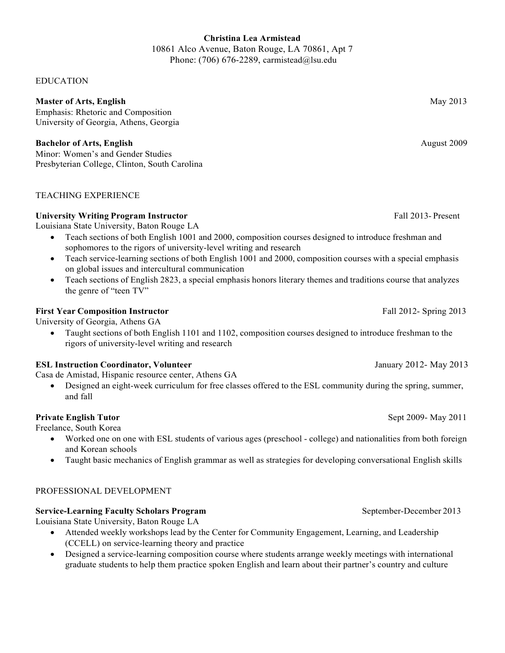## **Christina Lea Armistead**

10861 Alco Avenue, Baton Rouge, LA 70861, Apt 7 Phone: (706) 676-2289, [carmistead@lsu.edu](mailto:carmistead@lsu.edu)

#### EDUCATION

#### **Master of Arts, English** May 2013

Emphasis: Rhetoric and Composition University of Georgia, Athens, Georgia

## **Bachelor of Arts, English** August 2009

Minor: Women's and Gender Studies Presbyterian College, Clinton, South Carolina

## TEACHING EXPERIENCE

## **University Writing Program Instructor** Fall 2013- Present

Louisiana State University, Baton Rouge LA

- Teach sections of both English 1001 and 2000, composition courses designed to introduce freshman and sophomores to the rigors of university-level writing and research
- Teach service-learning sections of both English 1001 and 2000, composition courses with a special emphasis on global issues and intercultural communication
- Teach sections of English 2823, a special emphasis honors literary themes and traditions course that analyzes the genre of "teen TV"

## **First Year Composition Instructor Fall 2012- Spring 2013**

University of Georgia, Athens GA

• Taught sections of both English 1101 and 1102, composition courses designed to introduce freshman to the rigors of university-level writing and research

## **ESL Instruction Coordinator, Volunteer** January 2012- May 2013

Casa de Amistad, Hispanic resource center, Athens GA

• Designed an eight-week curriculum for free classes offered to the ESL community during the spring, summer, and fall

## **Private English Tutor** Sept 2009- May 2011

Freelance, South Korea

- Worked one on one with ESL students of various ages (preschool college) and nationalities from both foreign and Korean schools
- Taught basic mechanics of English grammar as well as strategies for developing conversational English skills

### PROFESSIONAL DEVELOPMENT

#### **Service-Learning Faculty Scholars Program** September-December 2013

Louisiana State University, Baton Rouge LA

- Attended weekly workshops lead by the Center for Community Engagement, Learning, and Leadership (CCELL) on service-learning theory and practice
- Designed a service-learning composition course where students arrange weekly meetings with international graduate students to help them practice spoken English and learn about their partner's country and culture